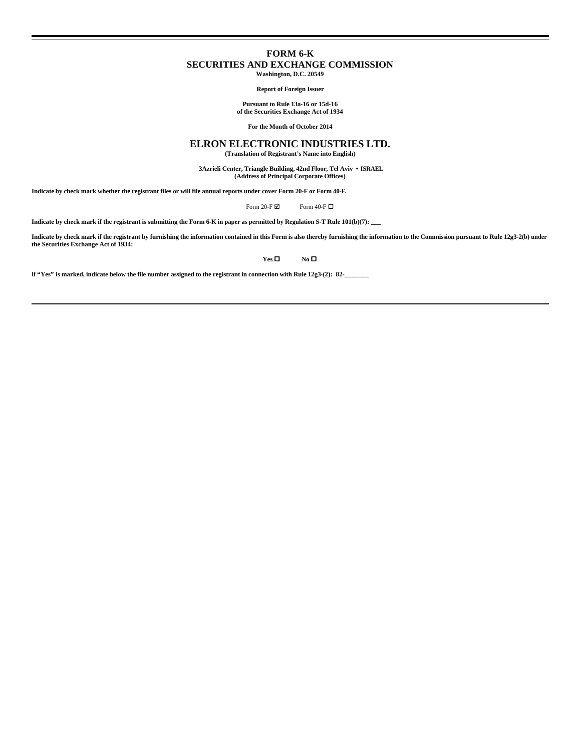## **FORM 6-K SECURITIES AND EXCHANGE COMMISSION Washington, D.C. 20549**

**Report of Foreign Issuer**

**Pursuant to Rule 13a-16 or 15d-16 of the Securities Exchange Act of 1934**

**For the Month of October 2014**

## **ELRON ELECTRONIC INDUSTRIES LTD.**

**(Translation of Registrant's Name into English)**

 **3Azrieli Center, Triangle Building, 42nd Floor, Tel Aviv • ISRAEL (Address of Principal Corporate Offices)**

**Indicate by check mark whether the registrant files or will file annual reports under cover Form 20-F or Form 40-F.**

Form 20-F $\boxtimes$  Form 40-F $\Box$ 

**Indicate by check mark if the registrant is submitting the Form 6-K in paper as permitted by Regulation S-T Rule 101(b)(7): \_\_\_**

**Indicate by check mark if the registrant by furnishing the information contained in this Form is also thereby furnishing the information to the Commission pursuant to Rule 12g3-2(b) under the Securities Exchange Act of 1934:**

 $Yes \Box$  **No**  $\Box$ 

**If "Yes" is marked, indicate below the file number assigned to the registrant in connection with Rule 12g3-(2): 82-\_\_\_\_\_\_\_**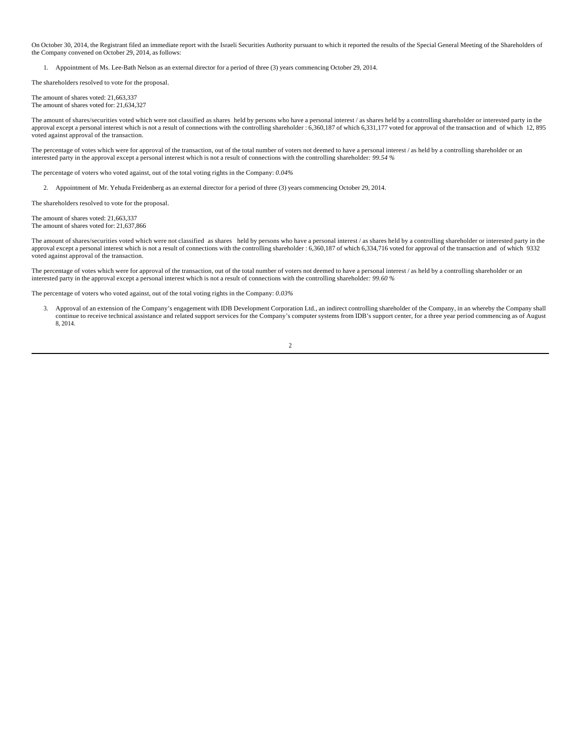On October 30, 2014, the Registrant filed an immediate report with the Israeli Securities Authority pursuant to which it reported the results of the Special General Meeting of the Shareholders of the Company convened on October 29, 2014, as follows:

1. Appointment of Ms. Lee-Bath Nelson as an external director for a period of three (3) years commencing October 29, 2014.

The shareholders resolved to vote for the proposal.

The amount of shares voted: 21,663,337 The amount of shares voted for: 21,634,327

The amount of shares/securities voted which were not classified as shares held by persons who have a personal interest / as shares held by a controlling shareholder or interested party in the approval except a personal interest which is not a result of connections with the controlling shareholder : 6,360,187 of which 6,331,177 voted for approval of the transaction and of which 12, 895 voted against approval of the transaction.

The percentage of votes which were for approval of the transaction, out of the total number of voters not deemed to have a personal interest / as held by a controlling shareholder or an interested party in the approval except a personal interest which is not a result of connections with the controlling shareholder*: 99.54 %*

The percentage of voters who voted against, out of the total voting rights in the Company: *0.04%*

2. Appointment of Mr. Yehuda Freidenberg as an external director for a period of three (3) years commencing October 29, 2014.

The shareholders resolved to vote for the proposal.

The amount of shares voted: 21,663,337 The amount of shares voted for: 21,637,866

The amount of shares/securities voted which were not classified as shares held by persons who have a personal interest / as shares held by a controlling shareholder or interested party in the approval except a personal interest which is not a result of connections with the controlling shareholder : 6,360,187 of which 6,334,716 voted for approval of the transaction and of which 9332 voted against approval of the transaction.

The percentage of votes which were for approval of the transaction, out of the total number of voters not deemed to have a personal interest  $\ell$  as held by a controlling shareholder or an interested party in the approval except a personal interest which is not a result of connections with the controlling shareholder*: 99.60 %*

The percentage of voters who voted against, out of the total voting rights in the Company: *0.03%*

 3. Approval of an extension of the Company's engagement with IDB Development Corporation Ltd., an indirect controlling shareholder of the Company, in an whereby the Company shall continue to receive technical assistance and related support services for the Company's computer systems from IDB's support center, for a three year period commencing as of August 8, 2014.

2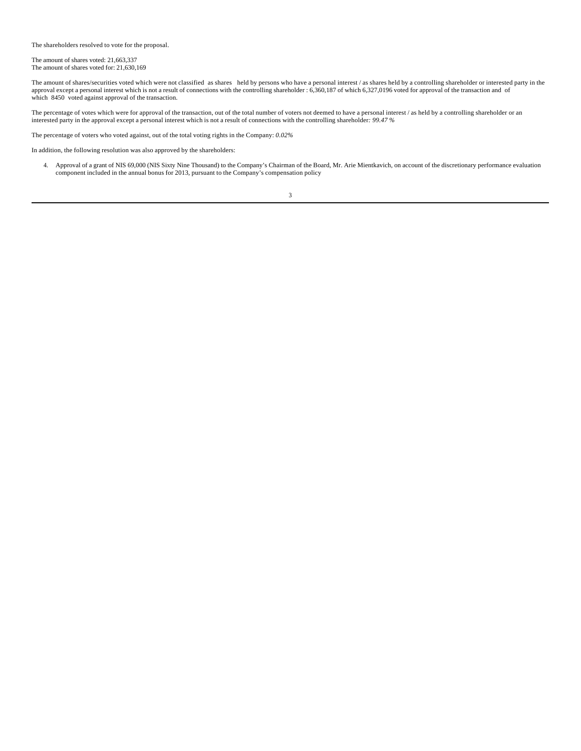The shareholders resolved to vote for the proposal.

The amount of shares voted: 21,663,337 The amount of shares voted for: 21,630,169

The amount of shares/securities voted which were not classified as shares held by persons who have a personal interest / as shares held by a controlling shareholder or interested party in the approval except a personal interest which is not a result of connections with the controlling shareholder : 6,360,187 of which 6,327,0196 voted for approval of the transaction and of which 8450 voted against approval of the transaction.

The percentage of votes which were for approval of the transaction, out of the total number of voters not deemed to have a personal interest / as held by a controlling shareholder or an interested party in the approval except a personal interest which is not a result of connections with the controlling shareholder*: 99.47 %*

The percentage of voters who voted against, out of the total voting rights in the Company: *0.02%*

In addition, the following resolution was also approved by the shareholders:

4. Approval of a grant of NIS 69,000 (NIS Sixty Nine Thousand) to the Company's Chairman of the Board, Mr. Arie Mientkavich, on account of the discretionary performance evaluation component included in the annual bonus for